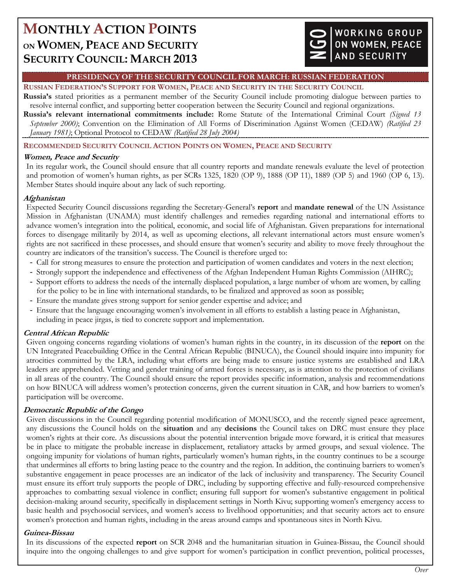# **MONTHLY ACTION POINTS ON WOMEN, PEACE AND SECURITY SECURITY COUNCIL: MARCH 2013**

## WORKING GROUP ON WOMEN, PEACE **AND SECURITY**

#### **PRESIDENCY OF THE SECURITY COUNCIL FOR MARCH: RUSSIAN FEDERATION**

## **RUSSIAN FEDERATION'S SUPPORT FOR WOMEN, PEACE AND SECURITY IN THE SECURITY COUNCIL**

**Russia's** stated priorities as a permanent member of the Security Council include promoting dialogue between parties to resolve internal conflict, and supporting better cooperation between the Security Council and regional organizations.

**Russia's relevant international commitments include:** Rome Statute of the International Criminal Court *(Signed 13 September 2000)*; Convention on the Elimination of All Forms of Discrimination Against Women (CEDAW) *(Ratified 23 January 1981)*; Optional Protocol to CEDAW *(Ratified 28 July 2004)*

## **RECOMMENDED SECURITY COUNCIL ACTION POINTS ON WOMEN, PEACE AND SECURITY**

## **Women, Peace and Security**

In its regular work, the Council should ensure that all country reports and mandate renewals evaluate the level of protection and promotion of women's human rights, as per SCRs 1325, 1820 (OP 9), 1888 (OP 11), 1889 (OP 5) and 1960 (OP 6, 13). Member States should inquire about any lack of such reporting.

## **Afghanistan**

Expected Security Council discussions regarding the Secretary-General's **report** and **mandate renewal** of the UN Assistance Mission in Afghanistan (UNAMA) must identify challenges and remedies regarding national and international efforts to advance women's integration into the political, economic, and social life of Afghanistan. Given preparations for international forces to disengage militarily by 2014, as well as upcoming elections, all relevant international actors must ensure women's rights are not sacrificed in these processes, and should ensure that women's security and ability to move freely throughout the country are indicators of the transition's success. The Council is therefore urged to:

- Call for strong measures to ensure the protection and participation of women candidates and voters in the next election;
- Strongly support the independence and effectiveness of the Afghan Independent Human Rights Commission (AIHRC);
- Support efforts to address the needs of the internally displaced population, a large number of whom are women, by calling for the policy to be in line with international standards, to be finalized and approved as soon as possible;
- Ensure the mandate gives strong support for senior gender expertise and advice; and
- Ensure that the language encouraging women's involvement in all efforts to establish a lasting peace in Afghanistan, including in peace jirgas, is tied to concrete support and implementation.

## **Central African Republic**

Given ongoing concerns regarding violations of women's human rights in the country, in its discussion of the **report** on the UN Integrated Peacebuilding Office in the Central African Republic (BINUCA), the Council should inquire into impunity for atrocities committed by the LRA, including what efforts are being made to ensure justice systems are established and LRA leaders are apprehended. Vetting and gender training of armed forces is necessary, as is attention to the protection of civilians in all areas of the country. The Council should ensure the report provides specific information, analysis and recommendations on how BINUCA will address women's protection concerns, given the current situation in CAR, and how barriers to women's participation will be overcome.

## **Democratic Republic of the Congo**

Given discussions in the Council regarding potential modification of MONUSCO, and the recently signed peace agreement, any discussions the Council holds on the **situation** and any **decisions** the Council takes on DRC must ensure they place women's rights at their core. As discussions about the potential intervention brigade move forward, it is critical that measures be in place to mitigate the probable increase in displacement, retaliatory attacks by armed groups, and sexual violence. The ongoing impunity for violations of human rights, particularly women's human rights, in the country continues to be a scourge that undermines all efforts to bring lasting peace to the country and the region. In addition, the continuing barriers to women's substantive engagement in peace processes are an indicator of the lack of inclusivity and transparency. The Security Council must ensure its effort truly supports the people of DRC, including by supporting effective and fully-resourced comprehensive approaches to combatting sexual violence in conflict; ensuring full support for women's substantive engagement in political decision-making around security, specifically in displacement settings in North Kivu; supporting women's emergency access to basic health and psychosocial services, and women's access to livelihood opportunities; and that security actors act to ensure women's protection and human rights, including in the areas around camps and spontaneous sites in North Kivu.

## **Guinea-Bissau**

In its discussions of the expected **report** on SCR 2048 and the humanitarian situation in Guinea-Bissau, the Council should inquire into the ongoing challenges to and give support for women's participation in conflict prevention, political processes,